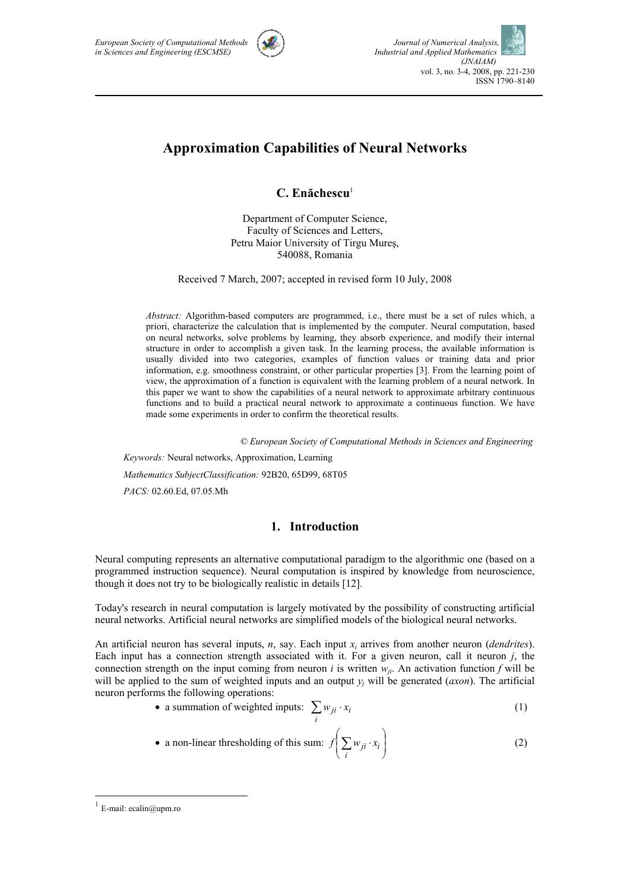

# **Approximation Capabilities of Neural Networks**

**C. Enăchescu**<sup>1</sup>

Department of Computer Science, Faculty of Sciences and Letters, Petru Maior University of Tirgu Mureş, 540088, Romania

Received 7 March, 2007; accepted in revised form 10 July, 2008

*Abstract:* Algorithm-based computers are programmed, i.e., there must be a set of rules which, a priori, characterize the calculation that is implemented by the computer. Neural computation, based on neural networks, solve problems by learning, they absorb experience, and modify their internal structure in order to accomplish a given task. In the learning process, the available information is usually divided into two categories, examples of function values or training data and prior information, e.g. smoothness constraint, or other particular properties [3]. From the learning point of view, the approximation of a function is equivalent with the learning problem of a neural network. In this paper we want to show the capabilities of a neural network to approximate arbitrary continuous functions and to build a practical neural network to approximate a continuous function. We have made some experiments in order to confirm the theoretical results.

 *© European Society of Computational Methods in Sciences and Engineering*

 *Keywords:* Neural networks, Approximation, Learning *Mathematics SubjectClassification:* 92B20, 65D99, 68T05 *PACS:* 02.60.Ed, 07.05.Mh

## **1. Introduction**

Neural computing represents an alternative computational paradigm to the algorithmic one (based on a programmed instruction sequence). Neural computation is inspired by knowledge from neuroscience, though it does not try to be biologically realistic in details [12].

Today's research in neural computation is largely motivated by the possibility of constructing artificial neural networks. Artificial neural networks are simplified models of the biological neural networks.

An artificial neuron has several inputs, *n*, say. Each input *xi* arrives from another neuron (*dendrites*). Each input has a connection strength associated with it. For a given neuron, call it neuron *j*, the connection strength on the input coming from neuron *i* is written  $w_{ji}$ . An activation function *f* will be will be applied to the sum of weighted inputs and an output  $y_i$  will be generated (*axon*). The artificial neuron performs the following operations:

- a summation of weighted inputs:  $\sum w_{ji}$ . *i*  $w_{ji} \cdot x_i$  (1)
- a non-linear thresholding of this sum:  $f\left[\sum_{i} w_{ji} \cdot x_i\right]$ ⎠ ⎞  $\parallel$ ⎝  $\Bigl( \sum w_{ji} \, \cdot \,$ *i*  $f\left[\sum w_{ji} \cdot x_i\right]$  (2)

 $\overline{a}$ 

 $1$  E-mail: ecalin@upm.ro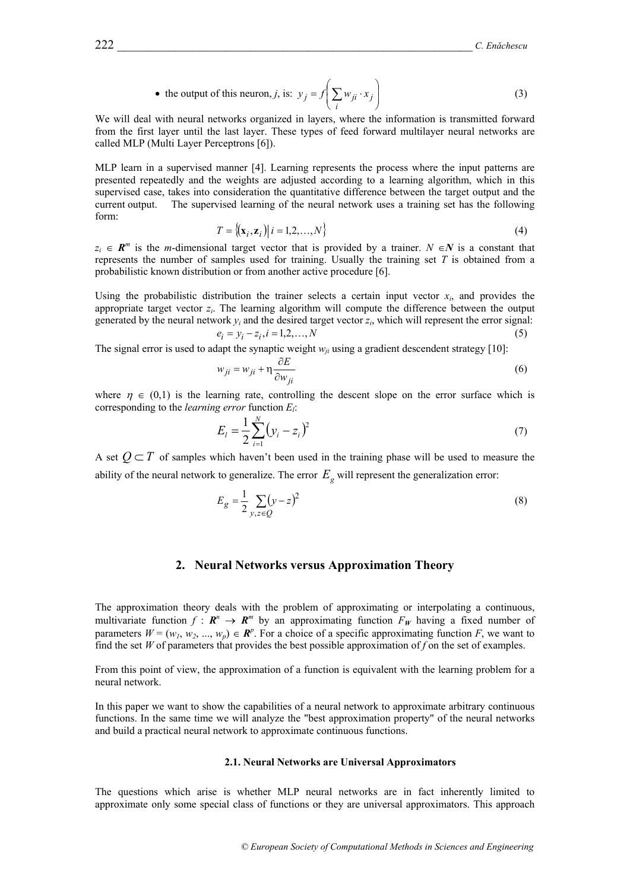• the output of this neuron, *j*, is: 
$$
y_j = f\left(\sum_i w_{ji} \cdot x_j\right)
$$
 (3)

We will deal with neural networks organized in layers, where the information is transmitted forward from the first layer until the last layer. These types of feed forward multilayer neural networks are called MLP (Multi Layer Perceptrons [6]).

MLP learn in a supervised manner [4]. Learning represents the process where the input patterns are presented repeatedly and the weights are adjusted according to a learning algorithm, which in this supervised case, takes into consideration the quantitative difference between the target output and the current output. The supervised learning of the neural network uses a training set has the following form:

$$
T = \{ (\mathbf{x}_i, \mathbf{z}_i) \mid i = 1, 2, \dots, N \}
$$
\n
$$
(4)
$$

 $z_i \in \mathbb{R}^m$  is the *m*-dimensional target vector that is provided by a trainer. *N* ∈*N* is a constant that represents the number of samples used for training. Usually the training set *T* is obtained from a probabilistic known distribution or from another active procedure [6].

Using the probabilistic distribution the trainer selects a certain input vector  $x_i$ , and provides the appropriate target vector  $z_i$ . The learning algorithm will compute the difference between the output generated by the neural network  $y_i$  and the desired target vector  $z_i$ , which will represent the error signal:

$$
e_i = y_i - z_i, i = 1, 2, ..., N
$$
 (5)

The signal error is used to adapt the synaptic weight  $w_{ij}$  using a gradient descendent strategy [10]:

$$
w_{ji} = w_{ji} + \eta \frac{\partial E}{\partial w_{ji}} \tag{6}
$$

where  $\eta \in (0,1)$  is the learning rate, controlling the descent slope on the error surface which is corresponding to the *learning error* function *El*:

$$
E_i = \frac{1}{2} \sum_{i=1}^{N} (y_i - z_i)^2
$$
 (7)

A set  $O \subset T$  of samples which haven't been used in the training phase will be used to measure the ability of the neural network to generalize. The error  $E<sub>g</sub>$  will represent the generalization error:

$$
E_g = \frac{1}{2} \sum_{y,z \in Q} (y - z)^2
$$
 (8)

## **2. Neural Networks versus Approximation Theory**

The approximation theory deals with the problem of approximating or interpolating a continuous, multivariate function  $f : \mathbb{R}^n \to \mathbb{R}^m$  by an approximating function  $F_W$  having a fixed number of parameters  $W = (w_1, w_2, ..., w_p) \in \mathbb{R}^p$ . For a choice of a specific approximating function *F*, we want to find the set *W* of parameters that provides the best possible approximation of *f* on the set of examples.

From this point of view, the approximation of a function is equivalent with the learning problem for a neural network.

In this paper we want to show the capabilities of a neural network to approximate arbitrary continuous functions. In the same time we will analyze the "best approximation property" of the neural networks and build a practical neural network to approximate continuous functions.

#### **2.1. Neural Networks are Universal Approximators**

The questions which arise is whether MLP neural networks are in fact inherently limited to approximate only some special class of functions or they are universal approximators. This approach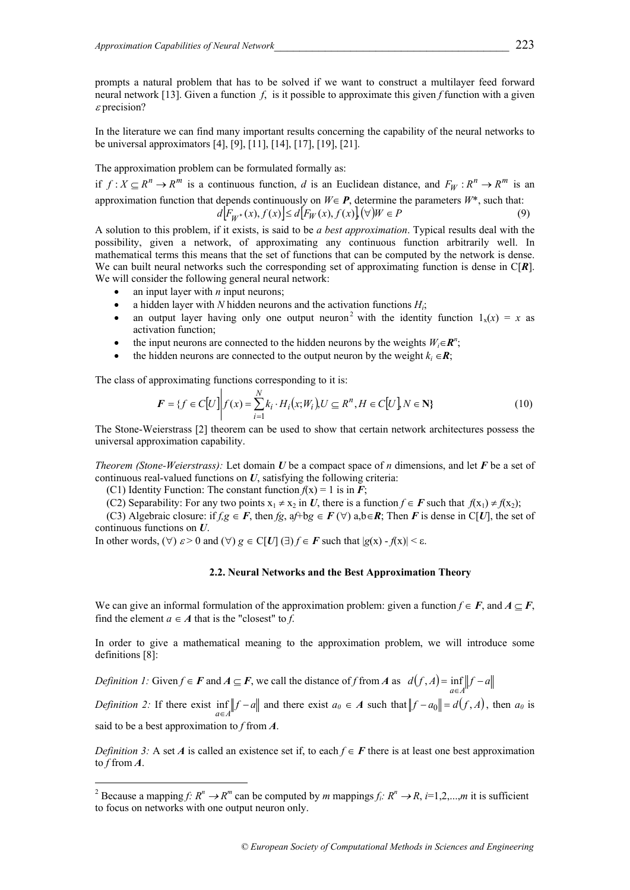prompts a natural problem that has to be solved if we want to construct a multilayer feed forward neural network [13]. Given a function *f*, is it possible to approximate this given *f* function with a given  $\varepsilon$  precision?

In the literature we can find many important results concerning the capability of the neural networks to be universal approximators [4], [9], [11], [14], [17], [19], [21].

The approximation problem can be formulated formally as:

if  $f: X \subseteq R^n \to R^m$  is a continuous function, *d* is an Euclidean distance, and  $F_W: R^n \to R^m$  is an approximation function that depends continuously on  $W \in \mathbf{P}$ , determine the parameters  $W^*$ , such that:  $d[F_{W^*}(x), f(x)] \le d[F_W(x), f(x)](\forall)W \in P$  (9)

A solution to this problem, if it exists, is said to be *a best approximation*. Typical results deal with the possibility, given a network, of approximating any continuous function arbitrarily well. In mathematical terms this means that the set of functions that can be computed by the network is dense. We can built neural networks such the corresponding set of approximating function is dense in C[*R*]. We will consider the following general neural network:

- an input layer with  $n$  input neurons;
- a hidden layer with *N* hidden neurons and the activation functions  $H_i$ ;
- an output layer having only one output neuron<sup>2</sup> with the identity function  $1_x(x) = x$  as activation function;
- the input neurons are connected to the hidden neurons by the weights  $W_i \in \mathbb{R}^n$ ;
- the hidden neurons are connected to the output neuron by the weight  $k_i \in \mathbb{R}$ ;

The class of approximating functions corresponding to it is:

$$
F = \{ f \in C[U] \mid f(x) = \sum_{i=1}^{N} k_i \cdot H_i(x;W_i), U \subseteq R^n, H \in C[U], N \in \mathbb{N} \}
$$
(10)

The Stone-Weierstrass [2] theorem can be used to show that certain network architectures possess the universal approximation capability.

*Theorem (Stone-Weierstrass):* Let domain *U* be a compact space of *n* dimensions, and let *F* be a set of continuous real-valued functions on *U*, satisfying the following criteria:

(C1) Identity Function: The constant function  $f(x) = 1$  is in *F*;

 $\overline{a}$ 

(C2) Separability: For any two points  $x_1 \neq x_2$  in *U*, there is a function  $f \in \mathbf{F}$  such that  $f(x_1) \neq f(x_2)$ ;

(C3) Algebraic closure: if  $f, g \in F$ , then  $fg, af+bg \in F(\forall)$  a,  $b \in R$ ; Then *F* is dense in C[*U*], the set of continuous functions on *U*.

In other words,  $(\forall)$   $\varepsilon > 0$  and  $(\forall)$   $g \in C[U]$   $(\exists)$   $f \in F$  such that  $|g(x) - f(x)| < \varepsilon$ .

#### **2.2. Neural Networks and the Best Approximation Theory**

We can give an informal formulation of the approximation problem: given a function  $f \in F$ , and  $A \subset F$ , find the element  $a \in A$  that is the "closest" to *f*.

In order to give a mathematical meaning to the approximation problem, we will introduce some definitions [8]:

*Definition 1:* Given  $f \in \mathbf{F}$  and  $A \subseteq \mathbf{F}$ , we call the distance of  $f$  from  $A$  as  $d(f, A) = \inf_{a \in A} ||f - a||$ 

*Definition 2:* If there exist  $\inf_{a \in A} ||f - a||$  and there exist  $a_0 \in A$  such that  $||f - a_0|| = d(f, A)$ , then  $a_0$  is said to be a best approximation to *f* from *A*.

*Definition 3:* A set *A* is called an existence set if, to each  $f \in F$  there is at least one best approximation to *f* from *A*.

<sup>&</sup>lt;sup>2</sup> Because a mapping *f:*  $R^n \to R^m$  can be computed by *m* mappings  $f_i: R^n \to R$ ,  $i=1,2,...,m$  it is sufficient to focus on networks with one output neuron only.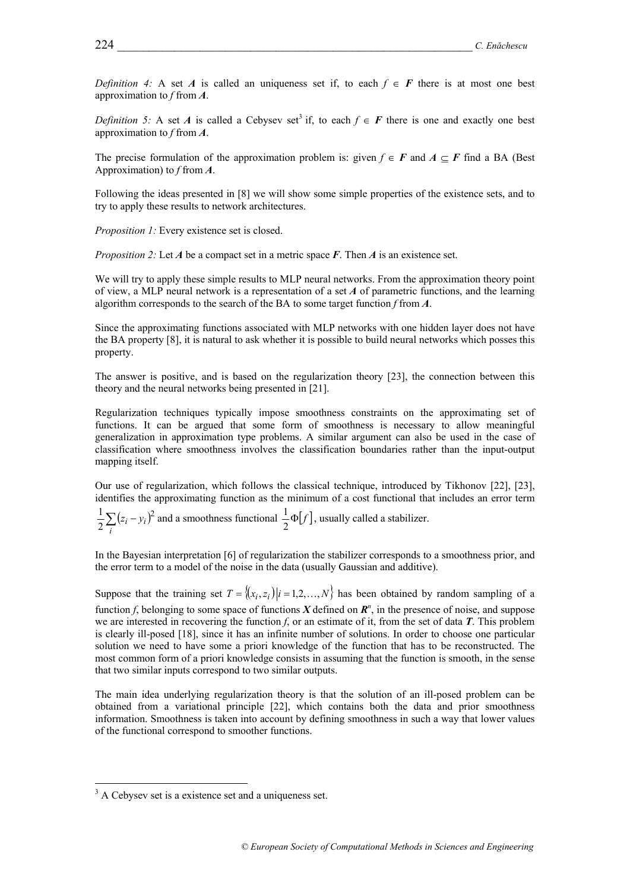*Definition 4:* A set *A* is called an uniqueness set if, to each  $f \in F$  there is at most one best approximation to *f* from *A*.

*Definition 5:* A set *A* is called a Cebysev set<sup>3</sup> if, to each  $f \in F$  there is one and exactly one best approximation to *f* from *A*.

The precise formulation of the approximation problem is: given  $f \in F$  and  $A \subset F$  find a BA (Best Approximation) to *f* from *A*.

Following the ideas presented in [8] we will show some simple properties of the existence sets, and to try to apply these results to network architectures.

*Proposition 1:* Every existence set is closed.

*Proposition 2:* Let *A* be a compact set in a metric space *F*. Then *A* is an existence set.

We will try to apply these simple results to MLP neural networks. From the approximation theory point of view, a MLP neural network is a representation of a set *A* of parametric functions, and the learning algorithm corresponds to the search of the BA to some target function *f* from *A*.

Since the approximating functions associated with MLP networks with one hidden layer does not have the BA property [8], it is natural to ask whether it is possible to build neural networks which posses this property.

The answer is positive, and is based on the regularization theory [23], the connection between this theory and the neural networks being presented in [21].

Regularization techniques typically impose smoothness constraints on the approximating set of functions. It can be argued that some form of smoothness is necessary to allow meaningful generalization in approximation type problems. A similar argument can also be used in the case of classification where smoothness involves the classification boundaries rather than the input-output mapping itself.

Our use of regularization, which follows the classical technique, introduced by Tikhonov [22], [23], identifies the approximating function as the minimum of a cost functional that includes an error term

 $(z_i - y_i)^2$ 2  $\frac{1}{2}\sum_{i}^{2}(z_i \sum_i (z_i - y_i)^2$  and a smoothness functional  $\frac{1}{2}\Phi[f]$ , usually called a stabilizer.

In the Bayesian interpretation [6] of regularization the stabilizer corresponds to a smoothness prior, and the error term to a model of the noise in the data (usually Gaussian and additive).

Suppose that the training set  $T = \{(x_i, z_i) | i = 1, 2, ..., N\}$  has been obtained by random sampling of a function *f*, belonging to some space of functions  $X$  defined on  $\mathbb{R}^n$ , in the presence of noise, and suppose we are interested in recovering the function *f*, or an estimate of it, from the set of data *T*. This problem is clearly ill-posed [18], since it has an infinite number of solutions. In order to choose one particular solution we need to have some a priori knowledge of the function that has to be reconstructed. The most common form of a priori knowledge consists in assuming that the function is smooth, in the sense that two similar inputs correspond to two similar outputs.

The main idea underlying regularization theory is that the solution of an ill-posed problem can be obtained from a variational principle [22], which contains both the data and prior smoothness information. Smoothness is taken into account by defining smoothness in such a way that lower values of the functional correspond to smoother functions.

 $\overline{a}$ 

 $3$  A Cebysev set is a existence set and a uniqueness set.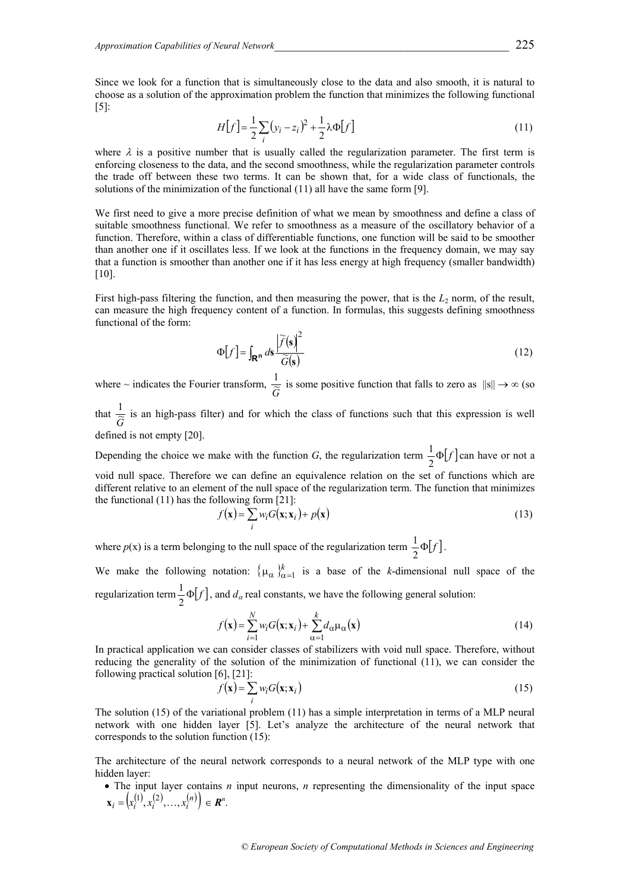Since we look for a function that is simultaneously close to the data and also smooth, it is natural to choose as a solution of the approximation problem the function that minimizes the following functional [5]:

$$
H[f] = \frac{1}{2} \sum_{i} (y_i - z_i)^2 + \frac{1}{2} \lambda \Phi[f]
$$
 (11)

where  $\lambda$  is a positive number that is usually called the regularization parameter. The first term is enforcing closeness to the data, and the second smoothness, while the regularization parameter controls the trade off between these two terms. It can be shown that, for a wide class of functionals, the solutions of the minimization of the functional (11) all have the same form [9].

We first need to give a more precise definition of what we mean by smoothness and define a class of suitable smoothness functional. We refer to smoothness as a measure of the oscillatory behavior of a function. Therefore, within a class of differentiable functions, one function will be said to be smoother than another one if it oscillates less. If we look at the functions in the frequency domain, we may say that a function is smoother than another one if it has less energy at high frequency (smaller bandwidth) [10].

First high-pass filtering the function, and then measuring the power, that is the  $L_2$  norm, of the result, can measure the high frequency content of a function. In formulas, this suggests defining smoothness functional of the form:

$$
\Phi[f] = \int_{\mathbf{R}^n} ds \frac{\left| \widetilde{f}(\mathbf{s}) \right|^2}{\widetilde{G}(\mathbf{s})}
$$
(12)

where  $\sim$  indicates the Fourier transform,  $\frac{1}{\widetilde{G}}$  is some positive function that falls to zero as  $\|s\| \to \infty$  (so

that  $\frac{1}{\tilde{G}}$  is an high-pass filter) and for which the class of functions such that this expression is well defined is not empty [20].

Depending the choice we make with the function *G*, the regularization term  $\frac{1}{2}\Phi[f]$  can have or not a void null space. Therefore we can define an equivalence relation on the set of functions which are different relative to an element of the null space of the regularization term. The function that minimizes the functional (11) has the following form [21]:

$$
f(\mathbf{x}) = \sum_{i} w_i G(\mathbf{x}; \mathbf{x}_i) + p(\mathbf{x})
$$
\n(13)

where  $p(x)$  is a term belonging to the null space of the regularization term  $\frac{1}{2}\Phi[f]$ .

We make the following notation:  $\{\mu_{\alpha}\}_{\alpha=1}^k$  is a base of the *k*-dimensional null space of the regularization term  $\frac{1}{2}$   $\Phi[f]$ , and  $d_{\alpha}$  real constants, we have the following general solution:

$$
f(\mathbf{x}) = \sum_{i=1}^{N} w_i G(\mathbf{x}; \mathbf{x}_i) + \sum_{\alpha=1}^{k} d_{\alpha} \mu_{\alpha}(\mathbf{x})
$$
(14)

In practical application we can consider classes of stabilizers with void null space. Therefore, without reducing the generality of the solution of the minimization of functional (11), we can consider the following practical solution [6], [21]:

$$
f(\mathbf{x}) = \sum_{i} w_i G(\mathbf{x}; \mathbf{x}_i)
$$
 (15)

The solution (15) of the variational problem (11) has a simple interpretation in terms of a MLP neural network with one hidden layer [5]. Let's analyze the architecture of the neural network that corresponds to the solution function (15):

The architecture of the neural network corresponds to a neural network of the MLP type with one hidden layer:

• The input layer contains *n* input neurons, *n* representing the dimensionality of the input space  $\mathbf{x}_i = (x_i^{(1)}, x_i^{(2)}, \dots, x_i^{(n)}) \in \mathbb{R}^n$ .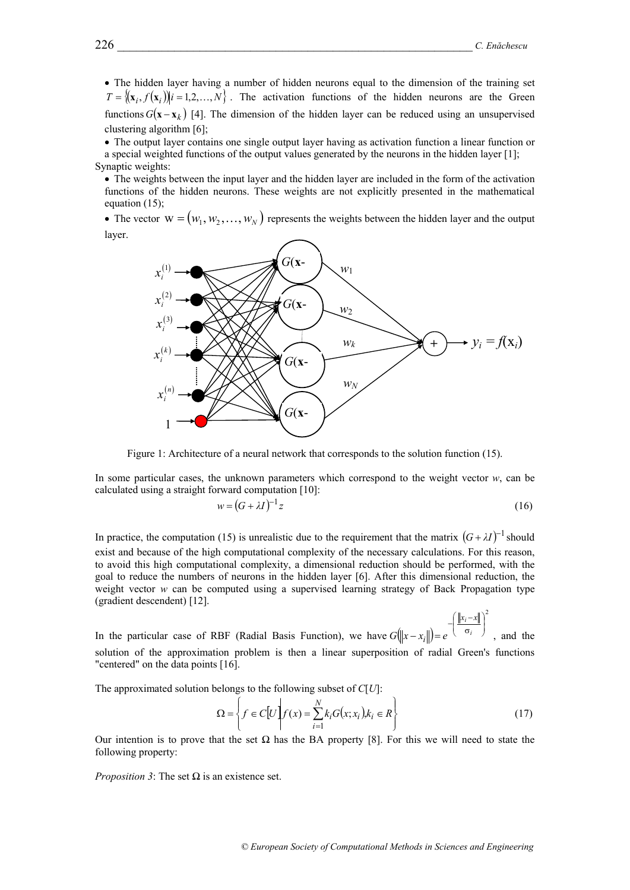2

⎞

 $x_i - x$ 

 $\big($ 

• The hidden layer having a number of hidden neurons equal to the dimension of the training set  $T = \{(\mathbf{x}_i, f(\mathbf{x}_i)) | i = 1, 2, ..., N\}$ . The activation functions of the hidden neurons are the Green functions  $G(x - x_k)$  [4]. The dimension of the hidden layer can be reduced using an unsupervised clustering algorithm [6];

• The output layer contains one single output layer having as activation function a linear function or a special weighted functions of the output values generated by the neurons in the hidden layer [1]; Synaptic weights:

• The weights between the input layer and the hidden layer are included in the form of the activation functions of the hidden neurons. These weights are not explicitly presented in the mathematical equation (15);

• The vector  $w = (w_1, w_2, ..., w_N)$  represents the weights between the hidden layer and the output layer.



Figure 1: Architecture of a neural network that corresponds to the solution function (15).

In some particular cases, the unknown parameters which correspond to the weight vector  $w$ , can be calculated using a straight forward computation [10]:

$$
w = (G + \lambda I)^{-1} z \tag{16}
$$

In practice, the computation (15) is unrealistic due to the requirement that the matrix  $(G + \lambda I)^{-1}$  should exist and because of the high computational complexity of the necessary calculations. For this reason, to avoid this high computational complexity, a dimensional reduction should be performed, with the goal to reduce the numbers of neurons in the hidden layer [6]. After this dimensional reduction, the weight vector *w* can be computed using a supervised learning strategy of Back Propagation type (gradient descendent) [12].

In the particular case of RBF (Radial Basis Function), we have  $G(||x-x_i||)$ ⎟ ⎟ ⎠  $\parallel$ ⎝  $-\left(\frac{\|x_i - \sigma_i\|}{\sigma_i}\right)$  $-x_i$ ||)=  $e^{(-0)^i}$  $G(x-x_i) = e^{-(x_i - x_i)}$ , and the solution of the approximation problem is then a linear superposition of radial Green's functions "centered" on the data points [16].

The approximated solution belongs to the following subset of *C*[*U*]:

$$
\Omega = \left\{ f \in C[U] \middle| f(x) = \sum_{i=1}^{N} k_i G(x; x_i), k_i \in R \right\} \tag{17}
$$

Our intention is to prove that the set  $\Omega$  has the BA property [8]. For this we will need to state the following property:

*Proposition 3*: The set  $\Omega$  is an existence set.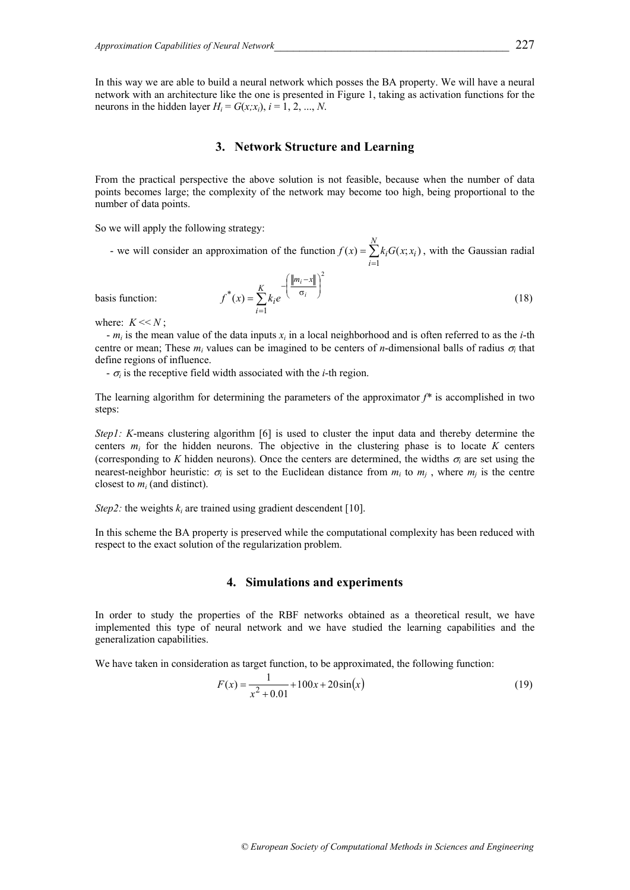In this way we are able to build a neural network which posses the BA property. We will have a neural network with an architecture like the one is presented in Figure 1, taking as activation functions for the neurons in the hidden layer  $H_i = G(x; x_i)$ ,  $i = 1, 2, ..., N$ .

## **3. Network Structure and Learning**

From the practical perspective the above solution is not feasible, because when the number of data points becomes large; the complexity of the network may become too high, being proportional to the number of data points.

So we will apply the following strategy:

- we will consider an approximation of the function  $f(x) = \sum$ = = *N i*  $f(x) = \sum k_i G(x; x_i)$ 1  $f(x) = \sum k_i G(x; x_i)$ , with the Gaussian radial

$$
f^*(x) = \sum_{i=1}^{K} k_i e^{-\left(\frac{\|m_i - x\|}{\sigma_i}\right)^2}
$$
 (18)

basis function:

where:  $K \ll N$ ;

 - *mi* is the mean value of the data inputs *xi* in a local neighborhood and is often referred to as the *i*-th centre or mean; These  $m_i$  values can be imagined to be centers of *n*-dimensional balls of radius  $\sigma_i$  that define regions of influence.

 $-\sigma_i$  is the receptive field width associated with the *i*-th region.

The learning algorithm for determining the parameters of the approximator *f\** is accomplished in two steps:

*Step1: K*-means clustering algorithm [6] is used to cluster the input data and thereby determine the centers  $m_i$  for the hidden neurons. The objective in the clustering phase is to locate  $K$  centers (corresponding to *K* hidden neurons). Once the centers are determined, the widths  $\sigma$ <sub>*i*</sub> are set using the nearest-neighbor heuristic:  $\sigma_i$  is set to the Euclidean distance from  $m_i$  to  $m_i$ , where  $m_i$  is the centre closest to *mi* (and distinct).

*Step2:* the weights  $k_i$  are trained using gradient descendent [10].

In this scheme the BA property is preserved while the computational complexity has been reduced with respect to the exact solution of the regularization problem.

#### **4. Simulations and experiments**

In order to study the properties of the RBF networks obtained as a theoretical result, we have implemented this type of neural network and we have studied the learning capabilities and the generalization capabilities.

We have taken in consideration as target function, to be approximated, the following function:

$$
F(x) = \frac{1}{x^2 + 0.01} + 100x + 20\sin(x)
$$
\n(19)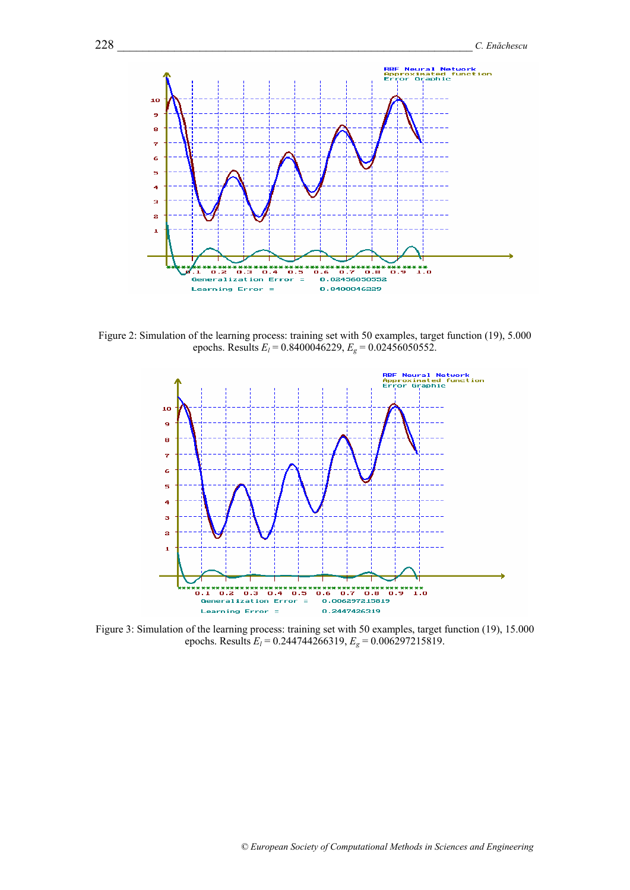

Figure 2: Simulation of the learning process: training set with 50 examples, target function (19), 5.000 epochs. Results  $E_l = 0.8400046229$ ,  $E_g = 0.02456050552$ .



Figure 3: Simulation of the learning process: training set with 50 examples, target function (19), 15.000 epochs. Results  $E_l = 0.244744266319$ ,  $E_g = 0.006297215819$ .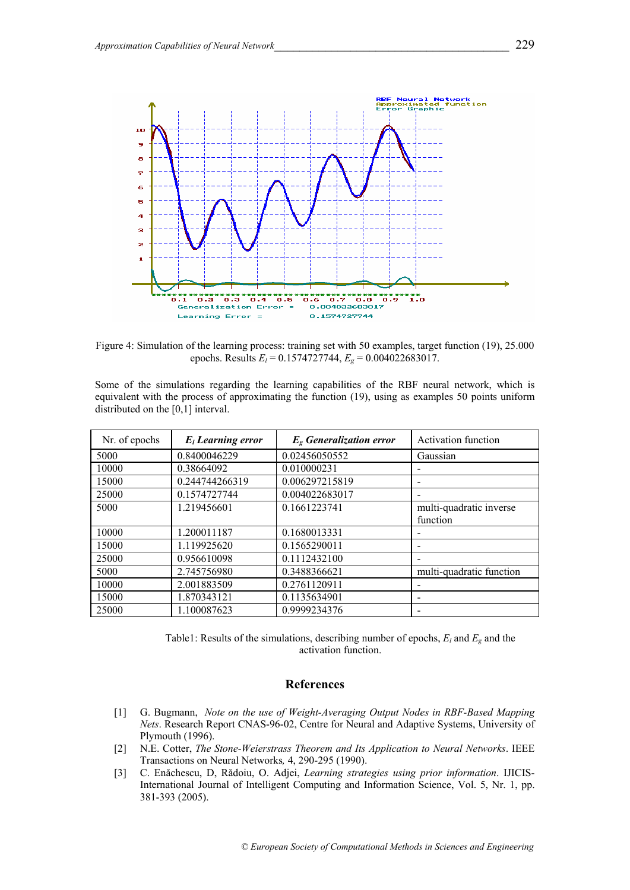

Figure 4: Simulation of the learning process: training set with 50 examples, target function (19), 25.000 epochs. Results *El* = 0.1574727744, *Eg* = 0.004022683017.

Some of the simulations regarding the learning capabilities of the RBF neural network, which is equivalent with the process of approximating the function (19), using as examples 50 points uniform distributed on the [0,1] interval.

| Nr. of epochs | $E_l$ Learning error | $Eg$ Generalization error | Activation function      |
|---------------|----------------------|---------------------------|--------------------------|
| 5000          | 0.8400046229         | 0.02456050552             | Gaussian                 |
| 10000         | 0.38664092           | 0.010000231               |                          |
| 15000         | 0.244744266319       | 0.006297215819            |                          |
| 25000         | 0.1574727744         | 0.004022683017            |                          |
| 5000          | 1.219456601          | 0.1661223741              | multi-quadratic inverse  |
|               |                      |                           | function                 |
| 10000         | 1.200011187          | 0.1680013331              |                          |
| 15000         | 1.119925620          | 0.1565290011              | $\overline{\phantom{0}}$ |
| 25000         | 0.956610098          | 0.1112432100              |                          |
| 5000          | 2.745756980          | 0.3488366621              | multi-quadratic function |
| 10000         | 2.001883509          | 0.2761120911              |                          |
| 15000         | 1.870343121          | 0.1135634901              |                          |
| 25000         | 1.100087623          | 0.9999234376              |                          |

Table1: Results of the simulations, describing number of epochs,  $E_l$  and  $E_g$  and the activation function.

### **References**

- [1] G. Bugmann, *Note on the use of Weight-Averaging Output Nodes in RBF-Based Mapping Nets*. Research Report CNAS-96-02, Centre for Neural and Adaptive Systems, University of Plymouth (1996).
- [2] N.E. Cotter, *The Stone-Weierstrass Theorem and Its Application to Neural Networks*. IEEE Transactions on Neural Networks*,* 4, 290-295 (1990).
- [3] C. Enăchescu, D, Rădoiu, O. Adjei, *Learning strategies using prior information*. IJICIS-International Journal of Intelligent Computing and Information Science, Vol. 5, Nr. 1, pp. 381-393 (2005).